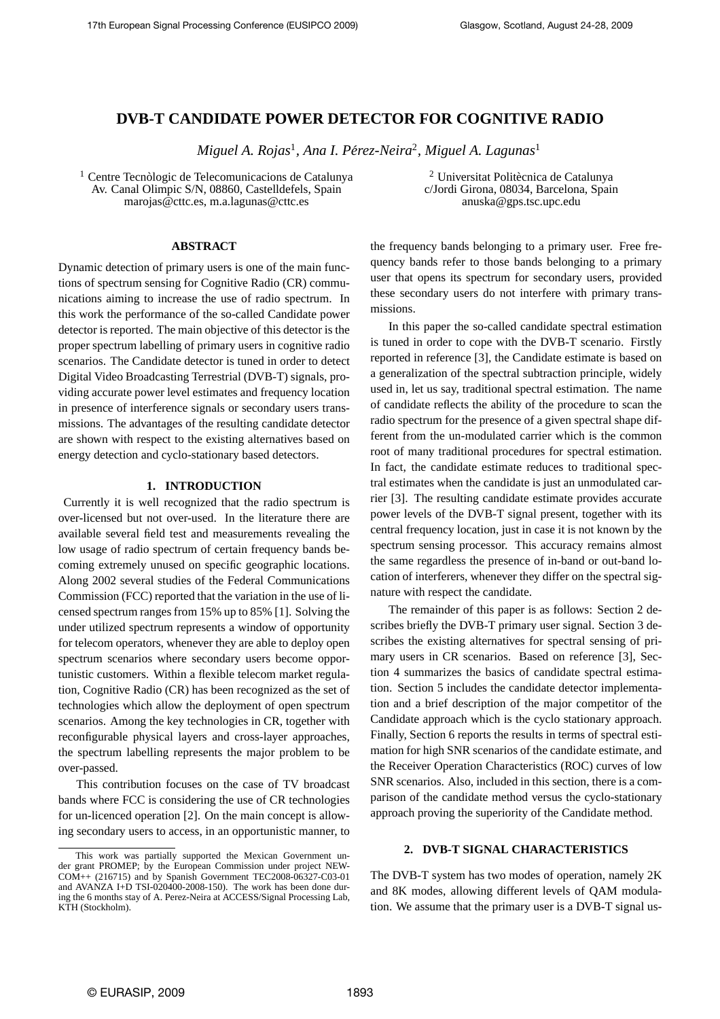# **DVB-T CANDIDATE POWER DETECTOR FOR COGNITIVE RADIO**

*Miguel A. Rojas*<sup>1</sup> *, Ana I. Perez-Neira ´* 2 *, Miguel A. Lagunas*<sup>1</sup>

 $<sup>1</sup>$  Centre Tecnòlogic de Telecomunicacions de Catalunya</sup> Av. Canal Olimpic S/N, 08860, Castelldefels, Spain marojas@cttc.es, m.a.lagunas@cttc.es

# **ABSTRACT**

Dynamic detection of primary users is one of the main functions of spectrum sensing for Cognitive Radio (CR) communications aiming to increase the use of radio spectrum. In this work the performance of the so-called Candidate power detector is reported. The main objective of this detector is the proper spectrum labelling of primary users in cognitive radio scenarios. The Candidate detector is tuned in order to detect Digital Video Broadcasting Terrestrial (DVB-T) signals, providing accurate power level estimates and frequency location in presence of interference signals or secondary users transmissions. The advantages of the resulting candidate detector are shown with respect to the existing alternatives based on energy detection and cyclo-stationary based detectors.

#### **1. INTRODUCTION**

Currently it is well recognized that the radio spectrum is over-licensed but not over-used. In the literature there are available several field test and measurements revealing the low usage of radio spectrum of certain frequency bands becoming extremely unused on specific geographic locations. Along 2002 several studies of the Federal Communications Commission (FCC) reported that the variation in the use of licensed spectrum ranges from 15% up to 85% [1]. Solving the under utilized spectrum represents a window of opportunity for telecom operators, whenever they are able to deploy open spectrum scenarios where secondary users become opportunistic customers. Within a flexible telecom market regulation, Cognitive Radio (CR) has been recognized as the set of technologies which allow the deployment of open spectrum scenarios. Among the key technologies in CR, together with reconfigurable physical layers and cross-layer approaches, the spectrum labelling represents the major problem to be over-passed.

This contribution focuses on the case of TV broadcast bands where FCC is considering the use of CR technologies for un-licenced operation [2]. On the main concept is allowing secondary users to access, in an opportunistic manner, to

 $2$  Universitat Politècnica de Catalunya c/Jordi Girona, 08034, Barcelona, Spain anuska@gps.tsc.upc.edu

the frequency bands belonging to a primary user. Free frequency bands refer to those bands belonging to a primary user that opens its spectrum for secondary users, provided these secondary users do not interfere with primary transmissions.

In this paper the so-called candidate spectral estimation is tuned in order to cope with the DVB-T scenario. Firstly reported in reference [3], the Candidate estimate is based on a generalization of the spectral subtraction principle, widely used in, let us say, traditional spectral estimation. The name of candidate reflects the ability of the procedure to scan the radio spectrum for the presence of a given spectral shape different from the un-modulated carrier which is the common root of many traditional procedures for spectral estimation. In fact, the candidate estimate reduces to traditional spectral estimates when the candidate is just an unmodulated carrier [3]. The resulting candidate estimate provides accurate power levels of the DVB-T signal present, together with its central frequency location, just in case it is not known by the spectrum sensing processor. This accuracy remains almost the same regardless the presence of in-band or out-band location of interferers, whenever they differ on the spectral signature with respect the candidate.

The remainder of this paper is as follows: Section 2 describes briefly the DVB-T primary user signal. Section 3 describes the existing alternatives for spectral sensing of primary users in CR scenarios. Based on reference [3], Section 4 summarizes the basics of candidate spectral estimation. Section 5 includes the candidate detector implementation and a brief description of the major competitor of the Candidate approach which is the cyclo stationary approach. Finally, Section 6 reports the results in terms of spectral estimation for high SNR scenarios of the candidate estimate, and the Receiver Operation Characteristics (ROC) curves of low SNR scenarios. Also, included in this section, there is a comparison of the candidate method versus the cyclo-stationary approach proving the superiority of the Candidate method.

# **2. DVB-T SIGNAL CHARACTERISTICS**

The DVB-T system has two modes of operation, namely 2K and 8K modes, allowing different levels of QAM modulation. We assume that the primary user is a DVB-T signal us-

This work was partially supported the Mexican Government under grant PROMEP; by the European Commission under project NEW-COM++ (216715) and by Spanish Government TEC2008-06327-C03-01 and AVANZA I+D TSI-020400-2008-150). The work has been done during the 6 months stay of A. Perez-Neira at ACCESS/Signal Processing Lab, KTH (Stockholm).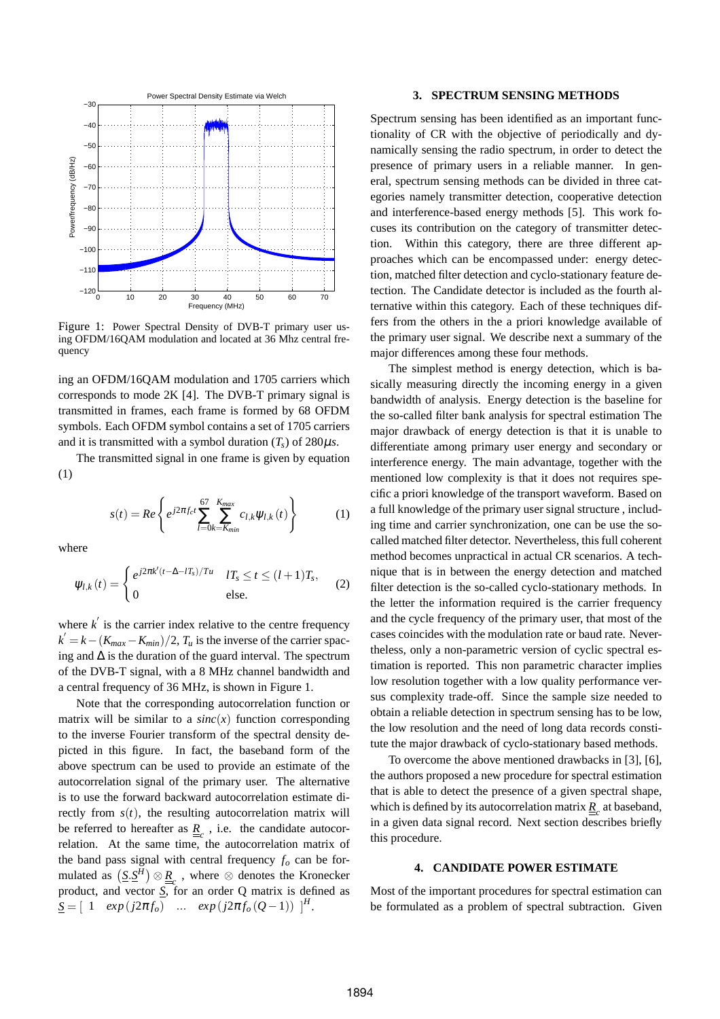

Figure 1: Power Spectral Density of DVB-T primary user using OFDM/16QAM modulation and located at 36 Mhz central frequency

ing an OFDM/16QAM modulation and 1705 carriers which corresponds to mode 2K [4]. The DVB-T primary signal is transmitted in frames, each frame is formed by 68 OFDM symbols. Each OFDM symbol contains a set of 1705 carriers and it is transmitted with a symbol duration  $(T_s)$  of 280 $\mu$ *s*.

The transmitted signal in one frame is given by equation (1)

$$
s(t) = Re \left\{ e^{j2\pi f_c t} \sum_{l=0}^{67} \sum_{k=K_{min}}^{K_{max}} c_{l,k} \psi_{l,k}(t) \right\}
$$
 (1)

where

$$
\psi_{l,k}(t) = \begin{cases} e^{j2\pi k'(t-\Delta-lT_s)/Tu} & lT_s \le t \le (l+1)T_s, \\ 0 & \text{else.} \end{cases}
$$
 (2)

where  $k'$  is the carrier index relative to the centre frequency  $k' = k - (K_{max} - K_{min})/2$ ,  $T_u$  is the inverse of the carrier spacing and  $\Delta$  is the duration of the guard interval. The spectrum of the DVB-T signal, with a 8 MHz channel bandwidth and a central frequency of 36 MHz, is shown in Figure 1.

Note that the corresponding autocorrelation function or matrix will be similar to a  $sinc(x)$  function corresponding to the inverse Fourier transform of the spectral density depicted in this figure. In fact, the baseband form of the above spectrum can be used to provide an estimate of the autocorrelation signal of the primary user. The alternative is to use the forward backward autocorrelation estimate directly from  $s(t)$ , the resulting autocorrelation matrix will be referred to hereafter as  $\underline{R}_c$ , i.e. the candidate autocorrelation. At the same time, the autocorrelation matrix of the band pass signal with central frequency  $f_o$  can be formulated as  $(\underline{S}.\underline{S}^H) \otimes \underline{R}_c$ , where  $\otimes$  denotes the Kronecker product, and vector *S*, for an order Q matrix is defined as  $S = [1 \exp(j2\pi f_o) \dots \exp(j2\pi f_o(Q-1))]^H$ .

#### **3. SPECTRUM SENSING METHODS**

Spectrum sensing has been identified as an important functionality of CR with the objective of periodically and dynamically sensing the radio spectrum, in order to detect the presence of primary users in a reliable manner. In general, spectrum sensing methods can be divided in three categories namely transmitter detection, cooperative detection and interference-based energy methods [5]. This work focuses its contribution on the category of transmitter detection. Within this category, there are three different approaches which can be encompassed under: energy detection, matched filter detection and cyclo-stationary feature detection. The Candidate detector is included as the fourth alternative within this category. Each of these techniques differs from the others in the a priori knowledge available of the primary user signal. We describe next a summary of the major differences among these four methods.

The simplest method is energy detection, which is basically measuring directly the incoming energy in a given bandwidth of analysis. Energy detection is the baseline for the so-called filter bank analysis for spectral estimation The major drawback of energy detection is that it is unable to differentiate among primary user energy and secondary or interference energy. The main advantage, together with the mentioned low complexity is that it does not requires specific a priori knowledge of the transport waveform. Based on a full knowledge of the primary user signal structure , including time and carrier synchronization, one can be use the socalled matched filter detector. Nevertheless, this full coherent method becomes unpractical in actual CR scenarios. A technique that is in between the energy detection and matched filter detection is the so-called cyclo-stationary methods. In the letter the information required is the carrier frequency and the cycle frequency of the primary user, that most of the cases coincides with the modulation rate or baud rate. Nevertheless, only a non-parametric version of cyclic spectral estimation is reported. This non parametric character implies low resolution together with a low quality performance versus complexity trade-off. Since the sample size needed to obtain a reliable detection in spectrum sensing has to be low, the low resolution and the need of long data records constitute the major drawback of cyclo-stationary based methods.

To overcome the above mentioned drawbacks in [3], [6], the authors proposed a new procedure for spectral estimation that is able to detect the presence of a given spectral shape, which is defined by its autocorrelation matrix  $\underline{R}_c$  at baseband, in a given data signal record. Next section describes briefly this procedure.

#### **4. CANDIDATE POWER ESTIMATE**

Most of the important procedures for spectral estimation can be formulated as a problem of spectral subtraction. Given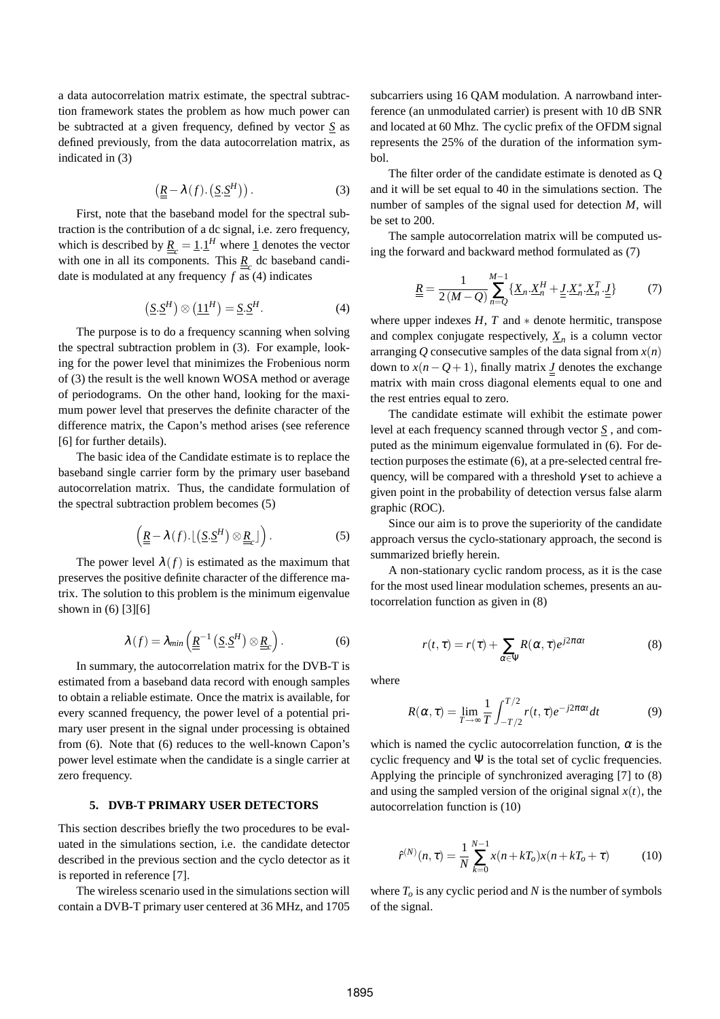a data autocorrelation matrix estimate, the spectral subtraction framework states the problem as how much power can be subtracted at a given frequency, defined by vector *S* as defined previously, from the data autocorrelation matrix, as indicated in (3)

$$
\left(\underline{\underline{R}} - \lambda(f).\left(\underline{S}.\underline{S}^H\right)\right). \tag{3}
$$

First, note that the baseband model for the spectral subtraction is the contribution of a dc signal, i.e. zero frequency, which is described by  $\underline{R}_{c} = \underline{1} \cdot \underline{1}^{H}$  where  $\underline{1}$  denotes the vector with one in all its components. This  $\underline{R}_c$  dc baseband candidate is modulated at any frequency *f* as (4) indicates

$$
\left(\underline{S}.\underline{S}^H\right)\otimes\left(\underline{11}^H\right)=\underline{S}.\underline{S}^H.\tag{4}
$$

The purpose is to do a frequency scanning when solving the spectral subtraction problem in (3). For example, looking for the power level that minimizes the Frobenious norm of (3) the result is the well known WOSA method or average of periodograms. On the other hand, looking for the maximum power level that preserves the definite character of the difference matrix, the Capon's method arises (see reference [6] for further details).

The basic idea of the Candidate estimate is to replace the baseband single carrier form by the primary user baseband autocorrelation matrix. Thus, the candidate formulation of the spectral subtraction problem becomes (5)

$$
\left(\underline{\underline{R}} - \lambda(f) \cdot \lfloor (\underline{S} \cdot \underline{S}^H) \otimes \underline{\underline{R}}_c \rfloor \right). \tag{5}
$$

The power level  $\lambda(f)$  is estimated as the maximum that preserves the positive definite character of the difference matrix. The solution to this problem is the minimum eigenvalue shown in (6) [3][6]

$$
\lambda(f) = \lambda_{min}\left(\underline{\underline{R}}^{-1}\left(\underline{S}.\underline{S}^H\right)\otimes \underline{\underline{R}}_c\right).
$$
 (6)

In summary, the autocorrelation matrix for the DVB-T is estimated from a baseband data record with enough samples to obtain a reliable estimate. Once the matrix is available, for every scanned frequency, the power level of a potential primary user present in the signal under processing is obtained from (6). Note that (6) reduces to the well-known Capon's power level estimate when the candidate is a single carrier at zero frequency.

# **5. DVB-T PRIMARY USER DETECTORS**

This section describes briefly the two procedures to be evaluated in the simulations section, i.e. the candidate detector described in the previous section and the cyclo detector as it is reported in reference [7].

The wireless scenario used in the simulations section will contain a DVB-T primary user centered at 36 MHz, and 1705 subcarriers using 16 QAM modulation. A narrowband interference (an unmodulated carrier) is present with 10 dB SNR and located at 60 Mhz. The cyclic prefix of the OFDM signal represents the 25% of the duration of the information sym $h<sub>0</sub>$ 

The filter order of the candidate estimate is denoted as Q and it will be set equal to 40 in the simulations section. The number of samples of the signal used for detection *M*, will be set to 200.

The sample autocorrelation matrix will be computed using the forward and backward method formulated as (7)

$$
\underline{\underline{R}} = \frac{1}{2(M-Q)} \sum_{n=Q}^{M-1} \{ \underline{X}_n \cdot \underline{X}_n^H + \underline{L} \cdot \underline{X}_n^* \cdot \underline{X}_n^T \cdot \underline{L} \}
$$
(7)

where upper indexes  $H$ ,  $T$  and  $*$  denote hermitic, transpose and complex conjugate respectively,  $\underline{X}_n$  is a column vector arranging *Q* consecutive samples of the data signal from  $x(n)$ down to  $x(n-Q+1)$ , finally matrix *J* denotes the exchange matrix with main cross diagonal elements equal to one and the rest entries equal to zero.

The candidate estimate will exhibit the estimate power level at each frequency scanned through vector *S* , and computed as the minimum eigenvalue formulated in (6). For detection purposes the estimate (6), at a pre-selected central frequency, will be compared with a threshold  $\gamma$  set to achieve a given point in the probability of detection versus false alarm graphic (ROC).

Since our aim is to prove the superiority of the candidate approach versus the cyclo-stationary approach, the second is summarized briefly herein.

A non-stationary cyclic random process, as it is the case for the most used linear modulation schemes, presents an autocorrelation function as given in (8)

$$
r(t,\tau) = r(\tau) + \sum_{\alpha \in \Psi} R(\alpha, \tau) e^{j2\pi\alpha t}
$$
 (8)

where

$$
R(\alpha, \tau) = \lim_{T \to \infty} \frac{1}{T} \int_{-T/2}^{T/2} r(t, \tau) e^{-j2\pi\alpha t} dt
$$
 (9)

which is named the cyclic autocorrelation function,  $\alpha$  is the cyclic frequency and  $\Psi$  is the total set of cyclic frequencies. Applying the principle of synchronized averaging [7] to (8) and using the sampled version of the original signal  $x(t)$ , the autocorrelation function is (10)

$$
\hat{r}^{(N)}(n,\tau) = \frac{1}{N} \sum_{k=0}^{N-1} x(n+kT_o)x(n+kT_o+\tau)
$$
(10)

where  $T<sub>o</sub>$  is any cyclic period and *N* is the number of symbols of the signal.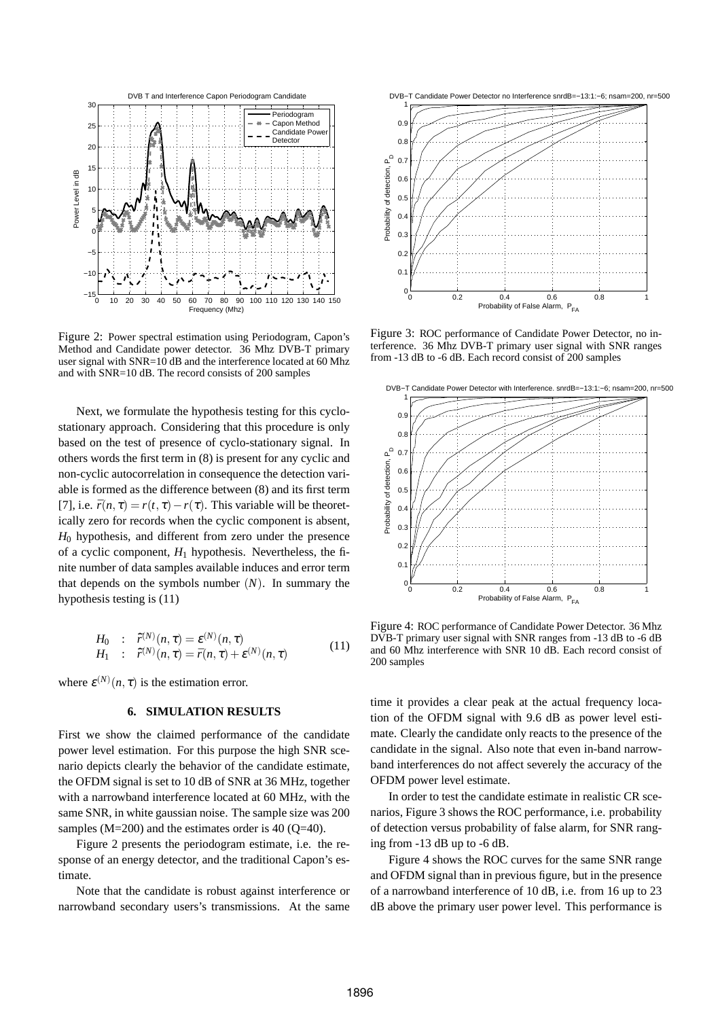

Figure 2: Power spectral estimation using Periodogram, Capon's Method and Candidate power detector. 36 Mhz DVB-T primary user signal with SNR=10 dB and the interference located at 60 Mhz and with SNR=10 dB. The record consists of 200 samples

Next, we formulate the hypothesis testing for this cyclostationary approach. Considering that this procedure is only based on the test of presence of cyclo-stationary signal. In others words the first term in (8) is present for any cyclic and non-cyclic autocorrelation in consequence the detection variable is formed as the difference between (8) and its first term [7], i.e.  $\bar{r}(n, \tau) = r(t, \tau) - r(\tau)$ . This variable will be theoretically zero for records when the cyclic component is absent,  $H_0$  hypothesis, and different from zero under the presence of a cyclic component,  $H_1$  hypothesis. Nevertheless, the finite number of data samples available induces and error term that depends on the symbols number (*N*). In summary the hypothesis testing is (11)

$$
H_0 : \hat{\mathbf{r}}^{(N)}(n,\tau) = \mathbf{\varepsilon}^{(N)}(n,\tau)
$$
  
\n
$$
H_1 : \hat{\mathbf{r}}^{(N)}(n,\tau) = \bar{\mathbf{r}}(n,\tau) + \mathbf{\varepsilon}^{(N)}(n,\tau)
$$
\n(11)

where  $\varepsilon^{(N)}(n, \tau)$  is the estimation error.

# **6. SIMULATION RESULTS**

First we show the claimed performance of the candidate power level estimation. For this purpose the high SNR scenario depicts clearly the behavior of the candidate estimate, the OFDM signal is set to 10 dB of SNR at 36 MHz, together with a narrowband interference located at 60 MHz, with the same SNR, in white gaussian noise. The sample size was 200 samples  $(M=200)$  and the estimates order is 40 (O=40).

Figure 2 presents the periodogram estimate, i.e. the response of an energy detector, and the traditional Capon's estimate.

Note that the candidate is robust against interference or narrowband secondary users's transmissions. At the same



Figure 3: ROC performance of Candidate Power Detector, no interference. 36 Mhz DVB-T primary user signal with SNR ranges from -13 dB to -6 dB. Each record consist of 200 samples



Figure 4: ROC performance of Candidate Power Detector. 36 Mhz DVB-T primary user signal with SNR ranges from -13 dB to -6 dB and 60 Mhz interference with SNR 10 dB. Each record consist of 200 samples

time it provides a clear peak at the actual frequency location of the OFDM signal with 9.6 dB as power level estimate. Clearly the candidate only reacts to the presence of the candidate in the signal. Also note that even in-band narrowband interferences do not affect severely the accuracy of the OFDM power level estimate.

In order to test the candidate estimate in realistic CR scenarios, Figure 3 shows the ROC performance, i.e. probability of detection versus probability of false alarm, for SNR ranging from -13 dB up to -6 dB.

Figure 4 shows the ROC curves for the same SNR range and OFDM signal than in previous figure, but in the presence of a narrowband interference of 10 dB, i.e. from 16 up to 23 dB above the primary user power level. This performance is